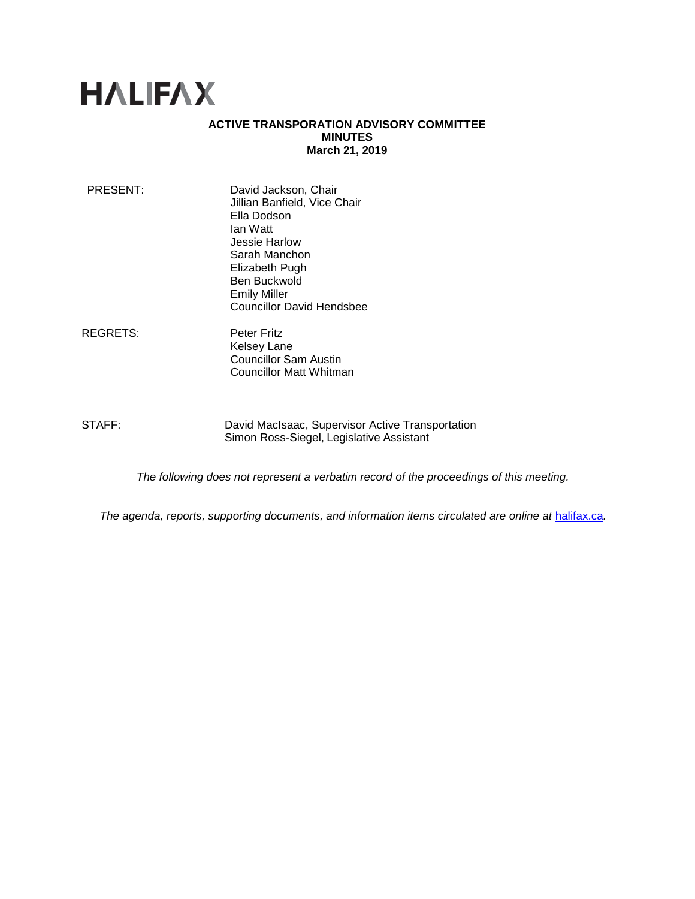# **HALIFAX**

## **ACTIVE TRANSPORATION ADVISORY COMMITTEE MINUTES March 21, 2019**

| PRESENT: | David Jackson, Chair<br>Jillian Banfield, Vice Chair<br>Ella Dodson<br>lan Watt<br>Jessie Harlow<br>Sarah Manchon<br>Elizabeth Pugh<br>Ben Buckwold |
|----------|-----------------------------------------------------------------------------------------------------------------------------------------------------|
|          |                                                                                                                                                     |
|          | <b>Emily Miller</b>                                                                                                                                 |
|          | <b>Councillor David Hendsbee</b>                                                                                                                    |

REGRETS: Peter Fritz Kelsey Lane Councillor Sam Austin Councillor Matt Whitman

STAFF: David MacIsaac, Supervisor Active Transportation Simon Ross-Siegel, Legislative Assistant

*The following does not represent a verbatim record of the proceedings of this meeting.*

*The agenda, reports, supporting documents, and information items circulated are online at [halifax.ca](http://www.halifax.ca/).*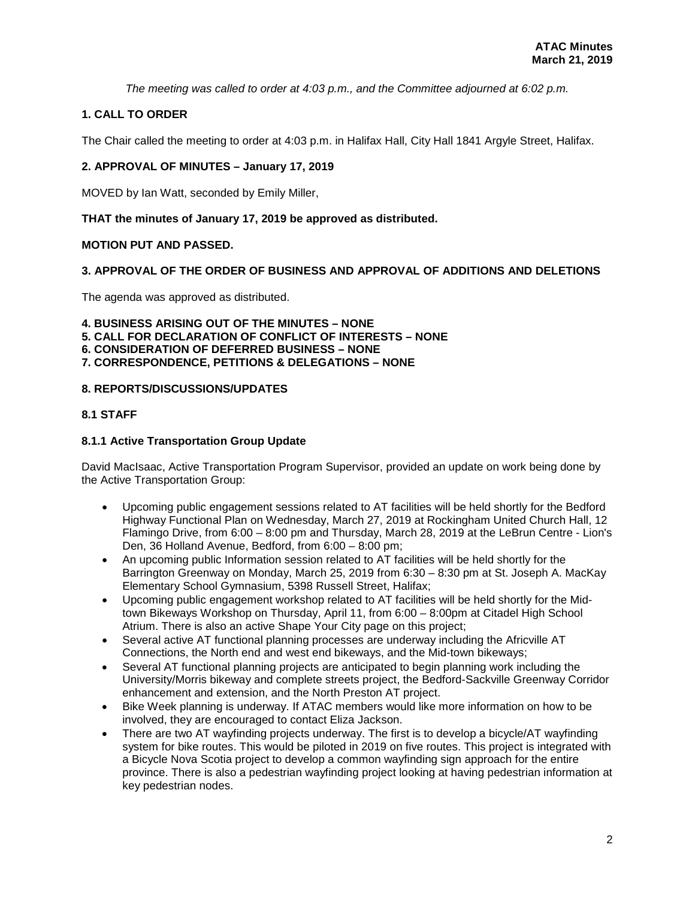*The meeting was called to order at 4:03 p.m., and the Committee adjourned at 6:02 p.m.*

## **1. CALL TO ORDER**

The Chair called the meeting to order at 4:03 p.m. in Halifax Hall, City Hall 1841 Argyle Street, Halifax.

## **2. APPROVAL OF MINUTES – January 17, 2019**

MOVED by Ian Watt, seconded by Emily Miller,

## **THAT the minutes of January 17, 2019 be approved as distributed.**

## **MOTION PUT AND PASSED.**

## **3. APPROVAL OF THE ORDER OF BUSINESS AND APPROVAL OF ADDITIONS AND DELETIONS**

The agenda was approved as distributed.

**4. BUSINESS ARISING OUT OF THE MINUTES – NONE**

**5. CALL FOR DECLARATION OF CONFLICT OF INTERESTS – NONE**

- **6. CONSIDERATION OF DEFERRED BUSINESS – NONE**
- **7. CORRESPONDENCE, PETITIONS & DELEGATIONS – NONE**

## **8. REPORTS/DISCUSSIONS/UPDATES**

## **8.1 STAFF**

## **8.1.1 Active Transportation Group Update**

David MacIsaac, Active Transportation Program Supervisor, provided an update on work being done by the Active Transportation Group:

- Upcoming public engagement sessions related to AT facilities will be held shortly for the Bedford Highway Functional Plan on Wednesday, March 27, 2019 at Rockingham United Church Hall, 12 Flamingo Drive, from 6:00 – 8:00 pm and Thursday, March 28, 2019 at the LeBrun Centre - Lion's Den, 36 Holland Avenue, Bedford, from 6:00 – 8:00 pm;
- An upcoming public Information session related to AT facilities will be held shortly for the Barrington Greenway on Monday, March 25, 2019 from 6:30 – 8:30 pm at St. Joseph A. MacKay Elementary School Gymnasium, 5398 Russell Street, Halifax;
- Upcoming public engagement workshop related to AT facilities will be held shortly for the Midtown Bikeways Workshop on Thursday, April 11, from 6:00 – 8:00pm at Citadel High School Atrium. There is also an active Shape Your City page on this project;
- Several active AT functional planning processes are underway including the Africville AT Connections, the North end and west end bikeways, and the Mid-town bikeways;
- Several AT functional planning projects are anticipated to begin planning work including the University/Morris bikeway and complete streets project, the Bedford-Sackville Greenway Corridor enhancement and extension, and the North Preston AT project.
- Bike Week planning is underway. If ATAC members would like more information on how to be involved, they are encouraged to contact Eliza Jackson.
- There are two AT wayfinding projects underway. The first is to develop a bicycle/AT wayfinding system for bike routes. This would be piloted in 2019 on five routes. This project is integrated with a Bicycle Nova Scotia project to develop a common wayfinding sign approach for the entire province. There is also a pedestrian wayfinding project looking at having pedestrian information at key pedestrian nodes.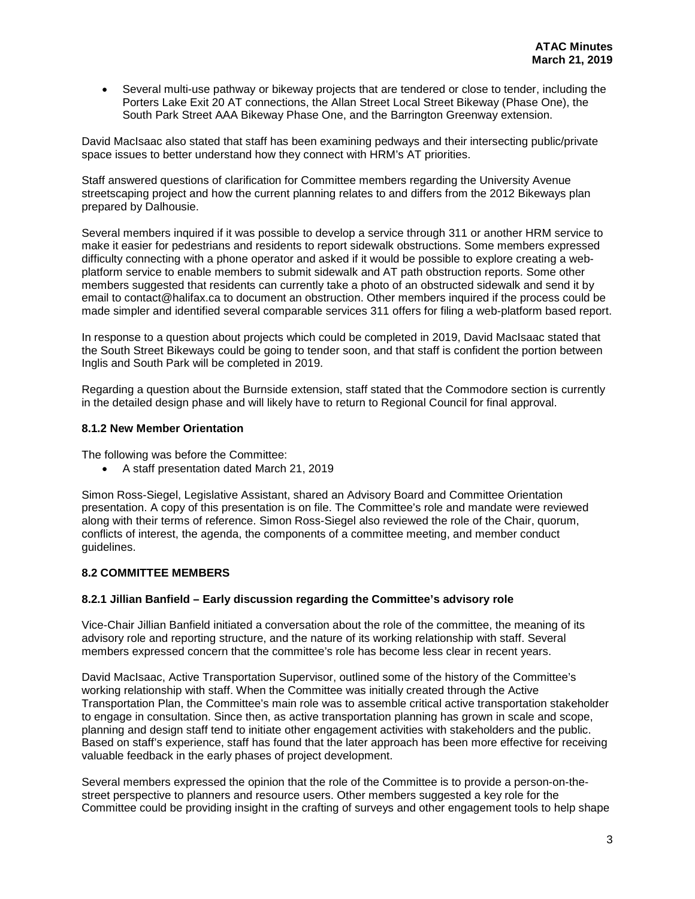• Several multi-use pathway or bikeway projects that are tendered or close to tender, including the Porters Lake Exit 20 AT connections, the Allan Street Local Street Bikeway (Phase One), the South Park Street AAA Bikeway Phase One, and the Barrington Greenway extension.

David MacIsaac also stated that staff has been examining pedways and their intersecting public/private space issues to better understand how they connect with HRM's AT priorities.

Staff answered questions of clarification for Committee members regarding the University Avenue streetscaping project and how the current planning relates to and differs from the 2012 Bikeways plan prepared by Dalhousie.

Several members inquired if it was possible to develop a service through 311 or another HRM service to make it easier for pedestrians and residents to report sidewalk obstructions. Some members expressed difficulty connecting with a phone operator and asked if it would be possible to explore creating a webplatform service to enable members to submit sidewalk and AT path obstruction reports. Some other members suggested that residents can currently take a photo of an obstructed sidewalk and send it by email to contact@halifax.ca to document an obstruction. Other members inquired if the process could be made simpler and identified several comparable services 311 offers for filing a web-platform based report.

In response to a question about projects which could be completed in 2019, David MacIsaac stated that the South Street Bikeways could be going to tender soon, and that staff is confident the portion between Inglis and South Park will be completed in 2019.

Regarding a question about the Burnside extension, staff stated that the Commodore section is currently in the detailed design phase and will likely have to return to Regional Council for final approval.

## **8.1.2 New Member Orientation**

The following was before the Committee:

• A staff presentation dated March 21, 2019

Simon Ross-Siegel, Legislative Assistant, shared an Advisory Board and Committee Orientation presentation. A copy of this presentation is on file. The Committee's role and mandate were reviewed along with their terms of reference. Simon Ross-Siegel also reviewed the role of the Chair, quorum, conflicts of interest, the agenda, the components of a committee meeting, and member conduct guidelines.

#### **8.2 COMMITTEE MEMBERS**

#### **8.2.1 Jillian Banfield – Early discussion regarding the Committee's advisory role**

Vice-Chair Jillian Banfield initiated a conversation about the role of the committee, the meaning of its advisory role and reporting structure, and the nature of its working relationship with staff. Several members expressed concern that the committee's role has become less clear in recent years.

David MacIsaac, Active Transportation Supervisor, outlined some of the history of the Committee's working relationship with staff. When the Committee was initially created through the Active Transportation Plan, the Committee's main role was to assemble critical active transportation stakeholder to engage in consultation. Since then, as active transportation planning has grown in scale and scope, planning and design staff tend to initiate other engagement activities with stakeholders and the public. Based on staff's experience, staff has found that the later approach has been more effective for receiving valuable feedback in the early phases of project development.

Several members expressed the opinion that the role of the Committee is to provide a person-on-thestreet perspective to planners and resource users. Other members suggested a key role for the Committee could be providing insight in the crafting of surveys and other engagement tools to help shape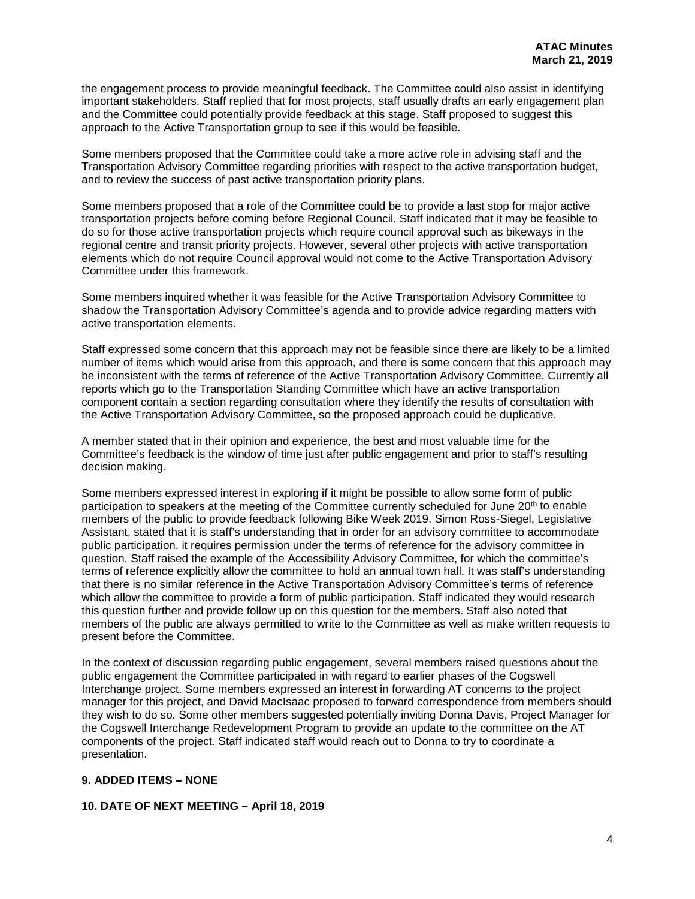the engagement process to provide meaningful feedback. The Committee could also assist in identifying important stakeholders. Staff replied that for most projects, staff usually drafts an early engagement plan and the Committee could potentially provide feedback at this stage. Staff proposed to suggest this approach to the Active Transportation group to see if this would be feasible.

Some members proposed that the Committee could take a more active role in advising staff and the Transportation Advisory Committee regarding priorities with respect to the active transportation budget, and to review the success of past active transportation priority plans.

Some members proposed that a role of the Committee could be to provide a last stop for major active transportation projects before coming before Regional Council. Staff indicated that it may be feasible to do so for those active transportation projects which require council approval such as bikeways in the regional centre and transit priority projects. However, several other projects with active transportation elements which do not require Council approval would not come to the Active Transportation Advisory Committee under this framework.

Some members inquired whether it was feasible for the Active Transportation Advisory Committee to shadow the Transportation Advisory Committee's agenda and to provide advice regarding matters with active transportation elements.

Staff expressed some concern that this approach may not be feasible since there are likely to be a limited number of items which would arise from this approach, and there is some concern that this approach may be inconsistent with the terms of reference of the Active Transportation Advisory Committee. Currently all reports which go to the Transportation Standing Committee which have an active transportation component contain a section regarding consultation where they identify the results of consultation with the Active Transportation Advisory Committee, so the proposed approach could be duplicative.

A member stated that in their opinion and experience, the best and most valuable time for the Committee's feedback is the window of time just after public engagement and prior to staff's resulting decision making.

Some members expressed interest in exploring if it might be possible to allow some form of public participation to speakers at the meeting of the Committee currently scheduled for June 20<sup>th</sup> to enable members of the public to provide feedback following Bike Week 2019. Simon Ross-Siegel, Legislative Assistant, stated that it is staff's understanding that in order for an advisory committee to accommodate public participation, it requires permission under the terms of reference for the advisory committee in question. Staff raised the example of the Accessibility Advisory Committee, for which the committee's terms of reference explicitly allow the committee to hold an annual town hall. It was staff's understanding that there is no similar reference in the Active Transportation Advisory Committee's terms of reference which allow the committee to provide a form of public participation. Staff indicated they would research this question further and provide follow up on this question for the members. Staff also noted that members of the public are always permitted to write to the Committee as well as make written requests to present before the Committee.

In the context of discussion regarding public engagement, several members raised questions about the public engagement the Committee participated in with regard to earlier phases of the Cogswell Interchange project. Some members expressed an interest in forwarding AT concerns to the project manager for this project, and David MacIsaac proposed to forward correspondence from members should they wish to do so. Some other members suggested potentially inviting Donna Davis, Project Manager for the Cogswell Interchange Redevelopment Program to provide an update to the committee on the AT components of the project. Staff indicated staff would reach out to Donna to try to coordinate a presentation.

## **9. ADDED ITEMS – NONE**

#### **10. DATE OF NEXT MEETING – April 18, 2019**